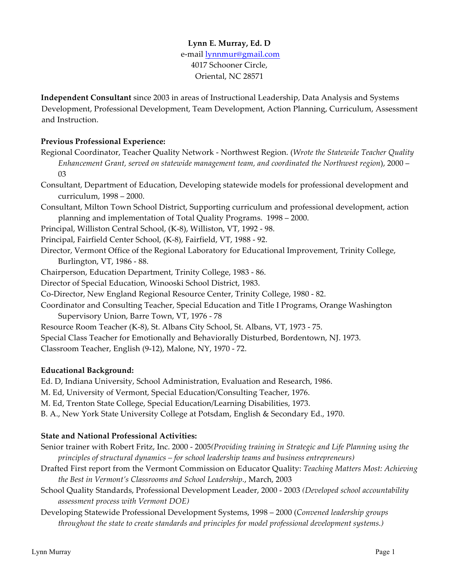# **Lynn E. Murray, Ed. D** e-mail lynnmur@gmail.com 4017 Schooner Circle, Oriental, NC 28571

**Independent Consultant** since 2003 in areas of Instructional Leadership, Data Analysis and Systems Development, Professional Development, Team Development, Action Planning, Curriculum, Assessment and Instruction.

### **Previous Professional Experience:**

- Regional Coordinator, Teacher Quality Network Northwest Region. (*Wrote the Statewide Teacher Quality Enhancement Grant, served on statewide management team, and coordinated the Northwest region*), 2000 – 03
- Consultant, Department of Education, Developing statewide models for professional development and curriculum, 1998 – 2000.
- Consultant, Milton Town School District, Supporting curriculum and professional development, action planning and implementation of Total Quality Programs. 1998 – 2000.
- Principal, Williston Central School, (K-8), Williston, VT, 1992 98.
- Principal, Fairfield Center School, (K-8), Fairfield, VT, 1988 92.
- Director, Vermont Office of the Regional Laboratory for Educational Improvement, Trinity College, Burlington, VT, 1986 - 88.
- Chairperson, Education Department, Trinity College, 1983 86.
- Director of Special Education, Winooski School District, 1983.
- Co-Director, New England Regional Resource Center, Trinity College, 1980 82.
- Coordinator and Consulting Teacher, Special Education and Title I Programs, Orange Washington Supervisory Union, Barre Town, VT, 1976 - 78
- Resource Room Teacher (K-8), St. Albans City School, St. Albans, VT, 1973 75.
- Special Class Teacher for Emotionally and Behaviorally Disturbed, Bordentown, NJ. 1973.

Classroom Teacher, English (9-12), Malone, NY, 1970 - 72.

#### **Educational Background:**

Ed. D, Indiana University, School Administration, Evaluation and Research, 1986.

- M. Ed, University of Vermont, Special Education/Consulting Teacher, 1976.
- M. Ed, Trenton State College, Special Education/Learning Disabilities, 1973.
- B. A., New York State University College at Potsdam, English & Secondary Ed., 1970.

#### **State and National Professional Activities:**

- Senior trainer with Robert Fritz, Inc. 2000 2005*(Providing training in Strategic and Life Planning using the principles of structural dynamics – for school leadership teams and business entrepreneurs)*
- Drafted First report from the Vermont Commission on Educator Quality: *Teaching Matters Most: Achieving the Best in Vermont's Classrooms and School Leadership.*, March, 2003
- School Quality Standards, Professional Development Leader, 2000 2003 *(Developed school accountability assessment process with Vermont DOE)*
- Developing Statewide Professional Development Systems, 1998 2000 (*Convened leadership groups throughout the state to create standards and principles for model professional development systems.)*